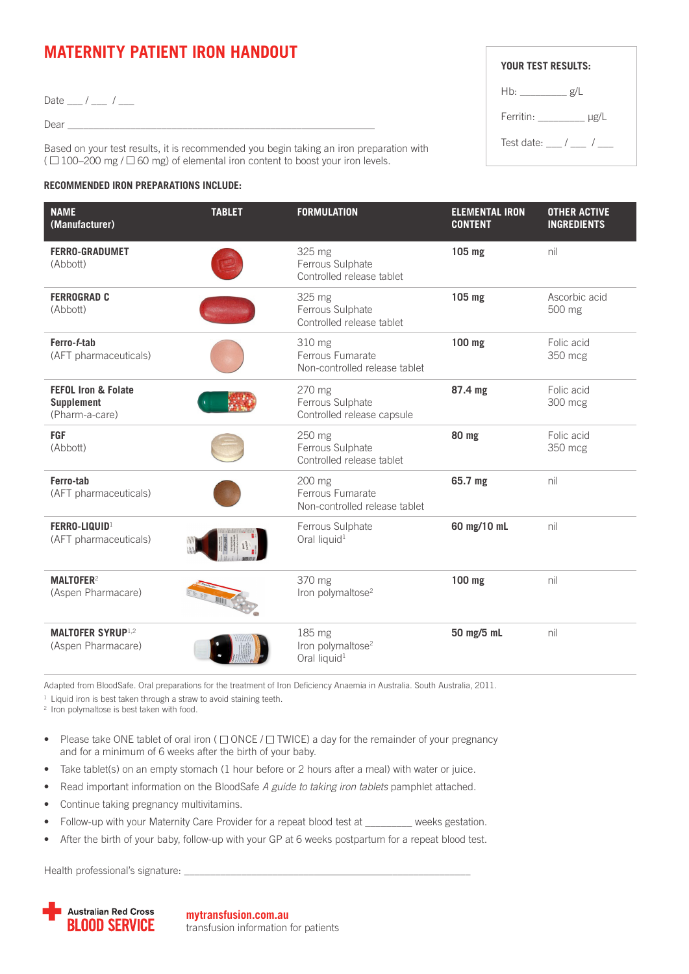## **MATERNITY PATIENT IRON HANDOUT**

Date  $\frac{1}{\sqrt{2}}$  / $\frac{1}{\sqrt{2}}$ 

 $Dear$   $\_$ 

Based on your test results, it is recommended you begin taking an iron preparation with  $( \Box 100-200 \text{ mg } / \Box 60 \text{ mg})$  of elemental iron content to boost your iron levels.

## **RECOMMENDED IRON PREPARATIONS INCLUDE:**

| YOUR TEST RESULTS:                       |  |  |
|------------------------------------------|--|--|
| $Hb:$ g/L                                |  |  |
| Ferritin: $\frac{\mu}{\sigma}$ $\mu$ g/L |  |  |
| Test date: / /                           |  |  |

| <b>NAME</b><br>(Manufacturer)                                  | <b>TABLET</b> | <b>FORMULATION</b>                                                  | <b>ELEMENTAL IRON</b><br><b>CONTENT</b> | <b>OTHER ACTIVE</b><br><b>INGREDIENTS</b> |
|----------------------------------------------------------------|---------------|---------------------------------------------------------------------|-----------------------------------------|-------------------------------------------|
| <b>FERRO-GRADUMET</b><br>(Abbott)                              |               | 325 mg<br>Ferrous Sulphate<br>Controlled release tablet             | 105 mg                                  | nil                                       |
| <b>FERROGRAD C</b><br>(Abbott)                                 |               | 325 mg<br>Ferrous Sulphate<br>Controlled release tablet             | 105 mg                                  | Ascorbic acid<br>500 mg                   |
| Ferro-f-tab<br>(AFT pharmaceuticals)                           |               | 310 mg<br>Ferrous Fumarate<br>Non-controlled release tablet         | 100 mg                                  | Folic acid<br>350 mcg                     |
| <b>FEFOL Iron &amp; Folate</b><br>Supplement<br>(Pharm-a-care) |               | 270 mg<br>Ferrous Sulphate<br>Controlled release capsule            | 87.4 mg                                 | Folic acid<br>300 mcg                     |
| <b>FGF</b><br>(Abbott)                                         |               | 250 mg<br>Ferrous Sulphate<br>Controlled release tablet             | 80 mg                                   | Folic acid<br>350 mcg                     |
| Ferro-tab<br>(AFT pharmaceuticals)                             |               | 200 mg<br>Ferrous Fumarate<br>Non-controlled release tablet         | 65.7 mg                                 | nil                                       |
| FERRO-LIQUID <sup>1</sup><br>(AFT pharmaceuticals)             |               | Ferrous Sulphate<br>Oral liquid <sup>1</sup>                        | 60 mg/10 mL                             | nil                                       |
| MALTOFER <sup>2</sup><br>(Aspen Pharmacare)                    |               | 370 mg<br>Iron polymaltose <sup>2</sup>                             | 100 mg                                  | nil                                       |
| <b>MALTOFER SYRUP</b> <sup>1,2</sup><br>(Aspen Pharmacare)     |               | 185 mg<br>Iron polymaltose <sup>2</sup><br>Oral liquid <sup>1</sup> | 50 mg/5 mL                              | nil                                       |

Adapted from BloodSafe. Oral preparations for the treatment of Iron Deficiency Anaemia in Australia. South Australia, 2011.

 $1$  Liquid iron is best taken through a straw to avoid staining teeth.

<sup>2</sup> Iron polymaltose is best taken with food.

- Please take ONE tablet of oral iron ( $\Box$  ONCE / $\Box$  TWICE) a day for the remainder of your pregnancy and for a minimum of 6 weeks after the birth of your baby.
- Take tablet(s) on an empty stomach (1 hour before or 2 hours after a meal) with water or juice.
- Read important information on the BloodSafe *A guide to taking iron tablets* pamphlet attached.
- Continue taking pregnancy multivitamins.
- Follow-up with your Maternity Care Provider for a repeat blood test at \_\_\_\_\_\_\_\_ weeks gestation.
- After the birth of your baby, follow-up with your GP at 6 weeks postpartum for a repeat blood test.

Health professional's signature:



**mytransfusion.com.au** transfusion information for patients